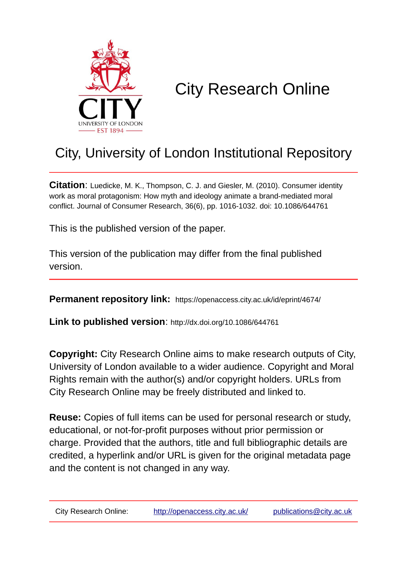

# City Research Online

## City, University of London Institutional Repository

**Citation**: Luedicke, M. K., Thompson, C. J. and Giesler, M. (2010). Consumer identity work as moral protagonism: How myth and ideology animate a brand-mediated moral conflict. Journal of Consumer Research, 36(6), pp. 1016-1032. doi: 10.1086/644761

This is the published version of the paper.

This version of the publication may differ from the final published version.

**Permanent repository link:** https://openaccess.city.ac.uk/id/eprint/4674/

**Link to published version**: http://dx.doi.org/10.1086/644761

**Copyright:** City Research Online aims to make research outputs of City, University of London available to a wider audience. Copyright and Moral Rights remain with the author(s) and/or copyright holders. URLs from City Research Online may be freely distributed and linked to.

**Reuse:** Copies of full items can be used for personal research or study, educational, or not-for-profit purposes without prior permission or charge. Provided that the authors, title and full bibliographic details are credited, a hyperlink and/or URL is given for the original metadata page and the content is not changed in any way.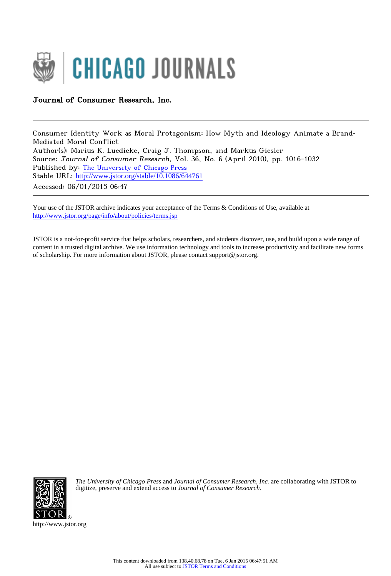

## Journal of Consumer Research, Inc.

Consumer Identity Work as Moral Protagonism: How Myth and Ideology Animate a Brand‐ Mediated Moral Conflict Author(s): Marius K. Luedicke, Craig J. Thompson, and Markus Giesler Source: Journal of Consumer Research, Vol. 36, No. 6 (April 2010), pp. 1016-1032 Published by: [The University of Chicago Press](http://www.jstor.org/action/showPublisher?publisherCode=ucpress) Stable URL: http://www.jstor.org/stable/10.1086/644761 Accessed: 06/01/2015 06:47

Your use of the JSTOR archive indicates your acceptance of the Terms & Conditions of Use, available at <http://www.jstor.org/page/info/about/policies/terms.jsp>

JSTOR is a not-for-profit service that helps scholars, researchers, and students discover, use, and build upon a wide range of content in a trusted digital archive. We use information technology and tools to increase productivity and facilitate new forms of scholarship. For more information about JSTOR, please contact support@jstor.org.



*The University of Chicago Press* and *Journal of Consumer Research, Inc.* are collaborating with JSTOR to digitize, preserve and extend access to *Journal of Consumer Research.*

http://www.jstor.org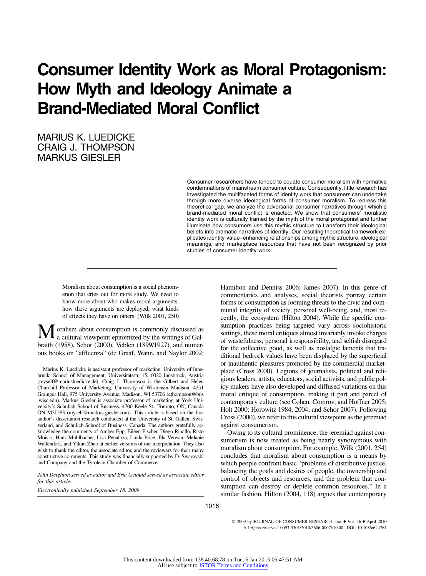## **Consumer Identity Work as Moral Protagonism: How Myth and Ideology Animate a Brand-Mediated Moral Conflict**

MARIUS K. LUEDICKE CRAIG J. THOMPSON MARKUS GIESLER

> Consumer researchers have tended to equate consumer moralism with normative condemnations of mainstream consumer culture. Consequently, little research has investigated the multifaceted forms of identity work that consumers can undertake through more diverse ideological forms of consumer moralism. To redress this theoretical gap, we analyze the adversarial consumer narratives through which a brand-mediated moral conflict is enacted. We show that consumers' moralistic identity work is culturally framed by the myth of the moral protagonist and further illuminate how consumers use this mythic structure to transform their ideological beliefs into dramatic narratives of identity. Our resulting theoretical framework explicates identity-value–enhancing relationships among mythic structure, ideological meanings, and marketplace resources that have not been recognized by prior studies of consumer identity work.

Moralism about consumption is a social phenomenon that cries out for more study. We need to know more about who makes moral arguments, how these arguments are deployed, what kinds of effects they have on others. (Wilk 2001, 250)

**M** oralism about consumption is commonly discussed as<br>a cultural viewpoint epitomized by the writings of Galbraith (1958), Schor (2000), Veblen (1899/1927), and numerous books on "affluenza" (de Graaf, Wann, and Naylor 2002;

*John Deighton served as editor and Eric Arnould served as associate editor for this article.*

*Electronically published September 18, 2009*

Hamilton and Denniss 2006; James 2007). In this genre of commentaries and analyses, social theorists portray certain forms of consumption as looming threats to the civic and communal integrity of society, personal well-being, and, most recently, the ecosystem (Hilton 2004). While the specific consumption practices being targeted vary across sociohistoric settings, these moral critiques almost invariably invoke charges of wastefulness, personal irresponsibility, and selfish disregard for the collective good, as well as nostalgic laments that traditional bedrock values have been displaced by the superficial or inauthentic pleasures promoted by the commercial marketplace (Cross 2000). Legions of journalists, political and religious leaders, artists, educators, social activists, and public policy makers have also developed and diffused variations on this moral critique of consumption, making it part and parcel of contemporary culture (see Cohen, Comrov, and Hoffner 2005; Holt 2000; Horowitz 1984, 2004; and Schor 2007). Following Cross (2000), we refer to this cultural viewpoint as the jeremiad against consumerism.

Owing to its cultural prominence, the jeremiad against consumerism is now treated as being nearly synonymous with moralism about consumption. For example, Wilk (2001, 254) concludes that moralism about consumption is a means by which people confront basic "problems of distributive justice, balancing the goals and desires of people, the ownership and control of objects and resources, and the problem that consumption can destroy or deplete common resources." In a similar fashion, Hilton (2004, 118) argues that contemporary

1016

 2009 by JOURNAL OF CONSUMER RESEARCH, Inc. ● Vol. 36 ● April 2010 All rights reserved. 0093-5301/2010/3606-0007\$10.00. DOI: 10.1086/644761

Marius K. Luedicke is assistant professor of marketing, University of Innsbruck, School of Management, Universitätsstr. 15, 6020 Innsbruck, Austria (myself@mariusluedicke.de). Craig J. Thompson is the Gilbert and Helen Churchill Professor of Marketing, University of Wisconsin–Madison, 4251 Grainger Hall, 975 University Avenue, Madison, WI 53706 (cthompson@bus .wisc.edu). Markus Giesler is associate professor of marketing at York University's Schulich School of Business, 4700 Keele St., Toronto, ON, Canada ON M3J1P3 (myself@markus-giesler.com). This article is based on the first author's dissertation research conducted at the University of St. Gallen, Switzerland, and Schulich School of Business, Canada. The authors gratefully acknowledge the comments of Amber Epp, Eileen Fischer, Diego Rinallo, Risto Moisio, Hans Mühlbacher, Lisa Peñaloza, Linda Price, Ela Veresiu, Melanie Wallendorf, and Yikun Zhao at earlier versions of our interpretation. They also wish to thank the editor, the associate editor, and the reviewers for their many constructive comments. This study was financially supported by D. Swarovski and Company and the Tyrolean Chamber of Commerce.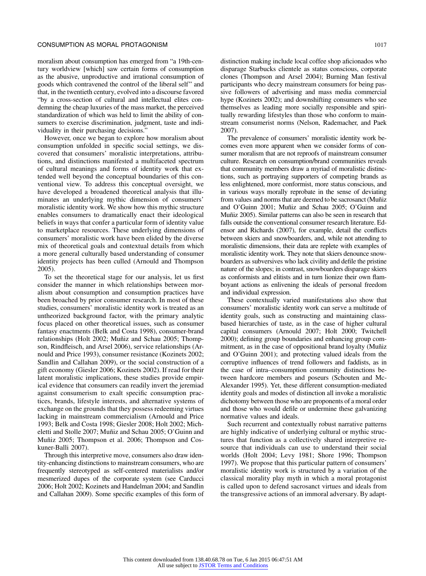moralism about consumption has emerged from "a 19th-century worldview [which] saw certain forms of consumption as the abusive, unproductive and irrational consumption of goods which contravened the control of the liberal self" and that, in the twentieth century, evolved into a discourse favored "by a cross-section of cultural and intellectual elites condemning the cheap luxuries of the mass market, the perceived standardization of which was held to limit the ability of consumers to exercise discrimination, judgment, taste and individuality in their purchasing decisions."

However, once we began to explore how moralism about consumption unfolded in specific social settings, we discovered that consumers' moralistic interpretations, attributions, and distinctions manifested a multifaceted spectrum of cultural meanings and forms of identity work that extended well beyond the conceptual boundaries of this conventional view. To address this conceptual oversight, we have developed a broadened theoretical analysis that illuminates an underlying mythic dimension of consumers' moralistic identity work. We show how this mythic structure enables consumers to dramatically enact their ideological beliefs in ways that confer a particular form of identity value to marketplace resources. These underlying dimensions of consumers' moralistic work have been elided by the diverse mix of theoretical goals and contextual details from which a more general culturally based understanding of consumer identity projects has been culled (Arnould and Thompson 2005).

To set the theoretical stage for our analysis, let us first consider the manner in which relationships between moralism about consumption and consumption practices have been broached by prior consumer research. In most of these studies, consumers' moralistic identity work is treated as an untheorized background factor, with the primary analytic focus placed on other theoretical issues, such as consumer fantasy enactments (Belk and Costa 1998), consumer-brand relationships (Holt 2002; Muñiz and Schau 2005; Thompson, Rindfleisch, and Arsel 2006), service relationships (Arnould and Price 1993), consumer resistance (Kozinets 2002; Sandlin and Callahan 2009), or the social construction of a gift economy (Giesler 2006; Kozinets 2002). If read for their latent moralistic implications, these studies provide empirical evidence that consumers can readily invert the jeremiad against consumerism to exalt specific consumption practices, brands, lifestyle interests, and alternative systems of exchange on the grounds that they possess redeeming virtues lacking in mainstream commercialism (Arnould and Price 1993; Belk and Costa 1998; Giesler 2008; Holt 2002; Micheletti and Stolle 2007; Muñiz and Schau 2005; O'Guinn and Muñiz 2005; Thompson et al. 2006; Thompson and Coskuner-Balli 2007).

Through this interpretive move, consumers also draw identity-enhancing distinctions to mainstream consumers, who are frequently stereotyped as self-centered materialists and/or mesmerized dupes of the corporate system (see Carducci 2006; Holt 2002; Kozinets and Handelman 2004; and Sandlin and Callahan 2009). Some specific examples of this form of distinction making include local coffee shop aficionados who disparage Starbucks clientele as status conscious, corporate clones (Thompson and Arsel 2004); Burning Man festival participants who decry mainstream consumers for being passive followers of advertising and mass media commercial hype (Kozinets 2002); and downshifting consumers who see themselves as leading more socially responsible and spiritually rewarding lifestyles than those who conform to mainstream consumerist norms (Nelson, Rademacher, and Paek 2007).

The prevalence of consumers' moralistic identity work becomes even more apparent when we consider forms of consumer moralism that are not reproofs of mainstream consumer culture. Research on consumption/brand communities reveals that community members draw a myriad of moralistic distinctions, such as portraying supporters of competing brands as less enlightened, more conformist, more status conscious, and in various ways morally reprobate in the sense of deviating from values and norms that are deemed to be sacrosanct (Muñiz and O'Guinn 2001; Muñiz and Schau 2005; O'Guinn and Muñiz 2005). Similar patterns can also be seen in research that falls outside the conventional consumer research literature. Edensor and Richards (2007), for example, detail the conflicts between skiers and snowboarders, and, while not attending to moralistic dimensions, their data are replete with examples of moralistic identity work. They note that skiers denounce snowboarders as subversives who lack civility and defile the pristine nature of the slopes; in contrast, snowboarders disparage skiers as conformists and elitists and in turn lionize their own flamboyant actions as enlivening the ideals of personal freedom and individual expression.

These contextually varied manifestations also show that consumers' moralistic identity work can serve a multitude of identity goals, such as constructing and maintaining classbased hierarchies of taste, as in the case of higher cultural capital consumers (Arnould 2007; Holt 2000; Twitchell 2000); defining group boundaries and enhancing group commitment, as in the case of oppositional brand loyalty (Muñiz and O'Guinn 2001); and protecting valued ideals from the corruptive influences of trend followers and faddists, as in the case of intra–consumption community distinctions between hardcore members and poseurs (Schouten and Mc-Alexander 1995). Yet, these different consumption-mediated identity goals and modes of distinction all invoke a moralistic dichotomy between those who are proponents of a moral order and those who would defile or undermine these galvanizing normative values and ideals.

Such recurrent and contextually robust narrative patterns are highly indicative of underlying cultural or mythic structures that function as a collectively shared interpretive resource that individuals can use to understand their social worlds (Holt 2004; Levy 1981; Shore 1996; Thompson 1997). We propose that this particular pattern of consumers' moralistic identity work is structured by a variation of the classical morality play myth in which a moral protagonist is called upon to defend sacrosanct virtues and ideals from the transgressive actions of an immoral adversary. By adapt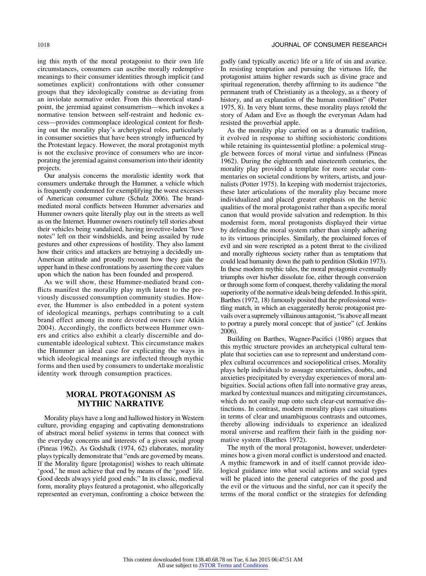ing this myth of the moral protagonist to their own life circumstances, consumers can ascribe morally redemptive meanings to their consumer identities through implicit (and sometimes explicit) confrontations with other consumer groups that they ideologically construe as deviating from an inviolate normative order. From this theoretical standpoint, the jeremiad against consumerism—which invokes a normative tension between self-restraint and hedonic excess—provides commonplace ideological content for fleshing out the morality play's archetypical roles, particularly in consumer societies that have been strongly influenced by the Protestant legacy. However, the moral protagonist myth is not the exclusive province of consumers who are incorporating the jeremiad against consumerism into their identity projects.

Our analysis concerns the moralistic identity work that consumers undertake through the Hummer, a vehicle which is frequently condemned for exemplifying the worst excesses of American consumer culture (Schulz 2006). The brandmediated moral conflicts between Hummer adversaries and Hummer owners quite literally play out in the streets as well as on the Internet. Hummer owners routinely tell stories about their vehicles being vandalized, having invective-laden "love notes" left on their windshields, and being assailed by rude gestures and other expressions of hostility. They also lament how their critics and attackers are betraying a decidedly un-American attitude and proudly recount how they gain the upper hand in these confrontations by asserting the core values upon which the nation has been founded and prospered.

As we will show, these Hummer-mediated brand conflicts manifest the morality play myth latent to the previously discussed consumption community studies. However, the Hummer is also embedded in a potent system of ideological meanings, perhaps contributing to a cult brand effect among its more devoted owners (see Atkin 2004). Accordingly, the conflicts between Hummer owners and critics also exhibit a clearly discernible and documentable ideological subtext. This circumstance makes the Hummer an ideal case for explicating the ways in which ideological meanings are inflected through mythic forms and then used by consumers to undertake moralistic identity work through consumption practices.

## **MORAL PROTAGONISM AS MYTHIC NARRATIVE**

Morality plays have a long and hallowed history in Western culture, providing engaging and captivating demonstrations of abstract moral belief systems in terms that connect with the everyday concerns and interests of a given social group (Pineas 1962). As Godshalk (1974, 62) elaborates, morality plays typically demonstrate that "ends are governed by means. If the Morality figure [protagonist] wishes to reach ultimate 'good,' he must achieve that end by means of the 'good' life. Good deeds always yield good ends." In its classic, medieval form, morality plays featured a protagonist, who allegorically represented an everyman, confronting a choice between the godly (and typically ascetic) life or a life of sin and avarice. In resisting temptation and pursuing the virtuous life, the protagonist attains higher rewards such as divine grace and spiritual regeneration, thereby affirming to its audience "the permanent truth of Christianity as a theology, as a theory of history, and an explanation of the human condition" (Potter 1975, 8). In very blunt terms, these morality plays retold the story of Adam and Eve as though the everyman Adam had resisted the proverbial apple.

As the morality play carried on as a dramatic tradition, it evolved in response to shifting sociohistoric conditions while retaining its quintessential plotline: a polemical struggle between forces of moral virtue and sinfulness (Pineas 1962). During the eighteenth and nineteenth centuries, the morality play provided a template for more secular commentaries on societal conditions by writers, artists, and journalists (Potter 1975). In keeping with modernist trajectories, these later articulations of the morality play became more individualized and placed greater emphasis on the heroic qualities of the moral protagonist rather than a specific moral canon that would provide salvation and redemption. In this modernist form, moral protagonists displayed their virtue by defending the moral system rather than simply adhering to its virtuous principles. Similarly, the proclaimed forces of evil and sin were rescripted as a potent threat to the civilized and morally righteous society rather than as temptations that could lead humanity down the path to perdition (Slotkin 1973). In these modern mythic tales, the moral protagonist eventually triumphs over his/her dissolute foe, either through conversion or through some form of conquest, thereby validating the moral superiority of the normative ideals being defended. In this spirit, Barthes (1972, 18) famously posited that the professional wrestling match, in which an exaggeratedly heroic protagonist prevails over a supremely villainous antagonist, "is above all meant to portray a purely moral concept: that of justice" (cf. Jenkins 2006).

Building on Barthes, Wagner-Pacifici (1986) argues that this mythic structure provides an archetypical cultural template that societies can use to represent and understand complex cultural occurrences and sociopolitical crises. Morality plays help individuals to assuage uncertainties, doubts, and anxieties precipitated by everyday experiences of moral ambiguities. Social actions often fall into normative gray areas, marked by contextual nuances and mitigating circumstances, which do not easily map onto such clear-cut normative distinctions. In contrast, modern morality plays cast situations in terms of clear and unambiguous contrasts and outcomes, thereby allowing individuals to experience an idealized moral universe and reaffirm their faith in the guiding normative system (Barthes 1972).

The myth of the moral protagonist, however, underdetermines how a given moral conflict is understood and enacted. A mythic framework in and of itself cannot provide ideological guidance into what social actions and social types will be placed into the general categories of the good and the evil or the virtuous and the sinful, nor can it specify the terms of the moral conflict or the strategies for defending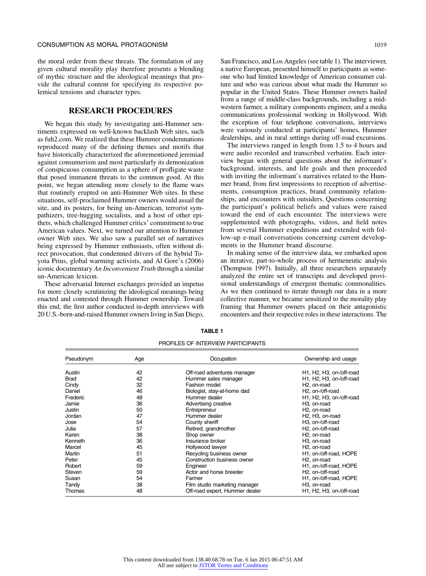the moral order from these threats. The formulation of any given cultural morality play therefore presents a blending of mythic structure and the ideological meanings that provide the cultural content for specifying its respective polemical tensions and character types.

## **RESEARCH PROCEDURES**

We began this study by investigating anti-Hummer sentiments expressed on well-known backlash Web sites, such as fuh2.com. We realized that these Hummer condemnations reproduced many of the defining themes and motifs that have historically characterized the aforementioned jeremiad against consumerism and most particularly its demonization of conspicuous consumption as a sphere of profligate waste that posed immanent threats to the common good. At this point, we began attending more closely to the flame wars that routinely erupted on anti-Hummer Web sites. In these situations, self-proclaimed Hummer owners would assail the site, and its posters, for being un-American, terrorist sympathizers, tree-hugging socialists, and a host of other epithets, which challenged Hummer critics' commitment to true American values. Next, we turned our attention to Hummer owner Web sites. We also saw a parallel set of narratives being expressed by Hummer enthusiasts, often without direct provocation, that condemned drivers of the hybrid Toyota Prius, global warming activists, and Al Gore's (2006) iconic documentary *An Inconvenient Truth* through a similar un-American lexicon.

These adversarial Internet exchanges provided an impetus for more closely scrutinizing the ideological meanings being enacted and contested through Hummer ownership. Toward this end, the first author conducted in-depth interviews with 20 U.S.-born-and-raised Hummer owners living in San Diego,

San Francisco, and Los Angeles (see table 1). The interviewer, a native European, presented himself to participants as someone who had limited knowledge of American consumer culture and who was curious about what made the Hummer so popular in the United States. These Hummer owners hailed from a range of middle-class backgrounds, including a midwestern farmer, a military components engineer, and a media communications professional working in Hollywood. With the exception of four telephone conversations, interviews were variously conducted at participants' homes, Hummer dealerships, and in rural settings during off-road excursions.

The interviews ranged in length from 1.5 to 4 hours and were audio recorded and transcribed verbatim. Each interview began with general questions about the informant's background, interests, and life goals and then proceeded with inviting the informant's narratives related to the Hummer brand, from first impressions to reception of advertisements, consumption practices, brand community relationships, and encounters with outsiders. Questions concerning the participant's political beliefs and values were raised toward the end of each encounter. The interviews were supplemented with photographs, videos, and field notes from several Hummer expeditions and extended with follow-up e-mail conversations concerning current developments in the Hummer brand discourse.

In making sense of the interview data, we embarked upon an iterative, part-to-whole process of hermeneutic analysis (Thompson 1997). Initially, all three researchers separately analyzed the entire set of transcripts and developed provisional understandings of emergent thematic commonalities. As we then continued to iterate through our data in a more collective manner, we became sensitized to the morality play framing that Hummer owners placed on their antagonistic encounters and their respective roles in these interactions. The

| Pseudonym   | Age | Occupation                     | Ownership and usage                       |
|-------------|-----|--------------------------------|-------------------------------------------|
| Austin      | 42  | Off-road adventures manager    | H1, H2, H3, on-/off-road                  |
| <b>Brad</b> | 42  | Hummer sales manager           | H1, H2, H3, on-/off-road                  |
| Cindy       | 32  | Fashion model                  | H <sub>2</sub> . on-road                  |
| Daniel      | 46  | Biologist, stay-at-home dad    | H <sub>2</sub> . on-/off-road             |
| Frederic    | 48  | Hummer dealer                  | H1, H2, H3, on-/off-road                  |
| Jamie       | 36  | Advertising creative           | H <sub>3</sub> , on-road                  |
| Justin      | 50  | Entrepreneur                   | H <sub>2</sub> , on-road                  |
| Jordan      | 47  | Hummer dealer                  | H <sub>2</sub> , H <sub>3</sub> , on-road |
| Jose        | 54  | County sheriff                 | H <sub>3</sub> , on-/off-road             |
| Julia       | 57  | Retired, grandmother           | H <sub>2</sub> , on-/off-road             |
| Karen       | 38  | Shop owner                     | H <sub>2</sub> , on-road                  |
| Kenneth     | 36  | Insurance broker               | H <sub>3</sub> , on-road                  |
| Marcel      | 45  | Hollywood lawyer               | H <sub>2</sub> , on-road                  |
| Martin      | 51  | Recycling business owner       | H1, on-/off-road, HOPE                    |
| Peter       | 45  | Construction business owner    | H <sub>2</sub> , on-road                  |
| Robert      | 59  | Engineer                       | H1, on-/off-road, HOPE                    |
| Steven      | 59  | Actor and horse breeder        | H <sub>2</sub> , on-/off-road             |
| Susan       | 54  | Farmer                         | H1, on-/off-road, HOPE                    |
| Tandy       | 38  | Film studio marketing manager  | H <sub>3</sub> , on-road                  |
| Thomas      | 48  | Off-road expert, Hummer dealer | H1, H2, H3, on-/off-road                  |

**TABLE 1** PROFILES OF INTERVIEW PARTICIPANTS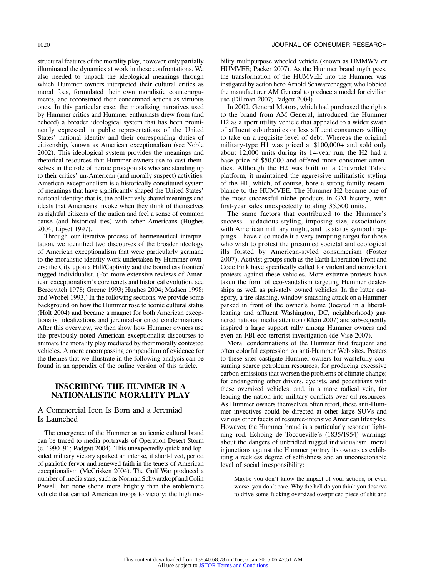structural features of the morality play, however, only partially illuminated the dynamics at work in these confrontations. We also needed to unpack the ideological meanings through which Hummer owners interpreted their cultural critics as moral foes, formulated their own moralistic counterarguments, and reconstrued their condemned actions as virtuous ones. In this particular case, the moralizing narratives used by Hummer critics and Hummer enthusiasts drew from (and echoed) a broader ideological system that has been prominently expressed in public representations of the United States' national identity and their corresponding duties of citizenship, known as American exceptionalism (see Noble 2002). This ideological system provides the meanings and rhetorical resources that Hummer owners use to cast themselves in the role of heroic protagonists who are standing up to their critics' un-American (and morally suspect) activities. American exceptionalism is a historically constituted system of meanings that have significantly shaped the United States' national identity: that is, the collectively shared meanings and ideals that Americans invoke when they think of themselves as rightful citizens of the nation and feel a sense of common cause (and historical ties) with other Americans (Hughes 2004; Lipset 1997).

Through our iterative process of hermeneutical interpretation, we identified two discourses of the broader ideology of American exceptionalism that were particularly germane to the moralistic identity work undertaken by Hummer owners: the City upon a Hill/Captivity and the boundless frontier/ rugged individualist. (For more extensive reviews of American exceptionalism's core tenets and historical evolution, see Bercovitch 1978; Greene 1993; Hughes 2004; Madsen 1998; and Wrobel 1993.) In the following sections, we provide some background on how the Hummer rose to iconic cultural status (Holt 2004) and became a magnet for both American exceptionalist idealizations and jeremiad-oriented condemnations. After this overview, we then show how Hummer owners use the previously noted American exceptionalist discourses to animate the morality play mediated by their morally contested vehicles. A more encompassing compendium of evidence for the themes that we illustrate in the following analysis can be found in an appendix of the online version of this article.

## **INSCRIBING THE HUMMER IN A NATIONALISTIC MORALITY PLAY**

## A Commercial Icon Is Born and a Jeremiad Is Launched

The emergence of the Hummer as an iconic cultural brand can be traced to media portrayals of Operation Desert Storm (c. 1990–91; Padgett 2004). This unexpectedly quick and lopsided military victory sparked an intense, if short-lived, period of patriotic fervor and renewed faith in the tenets of American exceptionalism (McCrisken 2004). The Gulf War produced a number of media stars, such as Norman Schwarzkopf and Colin Powell, but none shone more brightly than the emblematic vehicle that carried American troops to victory: the high mobility multipurpose wheeled vehicle (known as HMMWV or HUMVEE; Packer 2007). As the Hummer brand myth goes, the transformation of the HUMVEE into the Hummer was instigated by action hero Arnold Schwarzenegger, who lobbied the manufacturer AM General to produce a model for civilian use (Dillman 2007; Padgett 2004).

In 2002, General Motors, which had purchased the rights to the brand from AM General, introduced the Hummer H2 as a sport utility vehicle that appealed to a wider swath of affluent suburbanites or less affluent consumers willing to take on a requisite level of debt. Whereas the original military-type H1 was priced at \$100,000+ and sold only about 12,000 units during its 14-year run, the H2 had a base price of \$50,000 and offered more consumer amenities. Although the H2 was built on a Chevrolet Tahoe platform, it maintained the aggressive militaristic styling of the H1, which, of course, bore a strong family resemblance to the HUMVEE. The Hummer H2 became one of the most successful niche products in GM history, with first-year sales unexpectedly totaling 35,500 units.

The same factors that contributed to the Hummer's success—audacious styling, imposing size, associations with American military might, and its status symbol trappings—have also made it a very tempting target for those who wish to protest the presumed societal and ecological ills foisted by American-styled consumerism (Foster 2007). Activist groups such as the Earth Liberation Front and Code Pink have specifically called for violent and nonviolent protests against these vehicles. More extreme protests have taken the form of eco-vandalism targeting Hummer dealerships as well as privately owned vehicles. In the latter category, a tire-slashing, window-smashing attack on a Hummer parked in front of the owner's home (located in a liberalleaning and affluent Washington, DC, neighborhood) garnered national media attention (Klein 2007) and subsequently inspired a large support rally among Hummer owners and even an FBI eco-terrorist investigation (de Vise 2007).

Moral condemnations of the Hummer find frequent and often colorful expression on anti-Hummer Web sites. Posters to these sites castigate Hummer owners for wastefully consuming scarce petroleum resources; for producing excessive carbon emissions that worsen the problems of climate change; for endangering other drivers, cyclists, and pedestrians with these oversized vehicles; and, in a more radical vein, for leading the nation into military conflicts over oil resources. As Hummer owners themselves often retort, these anti-Hummer invectives could be directed at other large SUVs and various other facets of resource-intensive American lifestyles. However, the Hummer brand is a particularly resonant lightning rod. Echoing de Tocqueville's (1835/1954) warnings about the dangers of unbridled rugged individualism, moral injunctions against the Hummer portray its owners as exhibiting a reckless degree of selfishness and an unconscionable level of social irresponsibility:

Maybe you don't know the impact of your actions, or even worse, you don't care. Why the hell do you think you deserve to drive some fucking oversized overpriced piece of shit and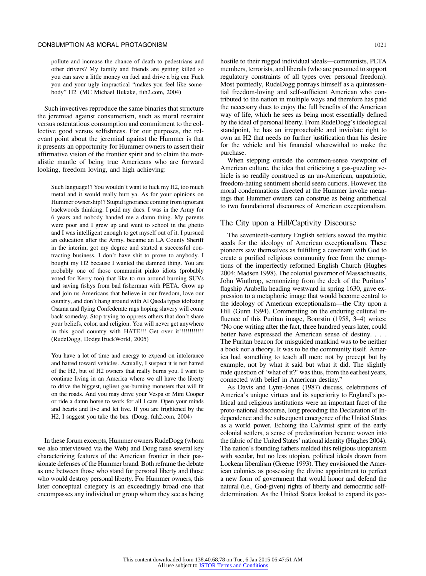pollute and increase the chance of death to pedestrians and other drivers? My family and friends are getting killed so you can save a little money on fuel and drive a big car. Fuck you and your ugly impractical "makes you feel like somebody" H2. (MC Michael Bukake, fuh2.com, 2004)

Such invectives reproduce the same binaries that structure the jeremiad against consumerism, such as moral restraint versus ostentatious consumption and commitment to the collective good versus selfishness. For our purposes, the relevant point about the jeremiad against the Hummer is that it presents an opportunity for Hummer owners to assert their affirmative vision of the frontier spirit and to claim the moralistic mantle of being true Americans who are forward looking, freedom loving, and high achieving:

Such language!? You wouldn't want to fuck my H2, too much metal and it would really hurt ya. As for your opinions on Hummer ownership!? Stupid ignorance coming from ignorant backwoods thinking. I paid my dues. I was in the Army for 6 years and nobody handed me a damn thing. My parents were poor and I grew up and went to school in the ghetto and I was intelligent enough to get myself out of it. I pursued an education after the Army, became an LA County Sheriff in the interim, got my degree and started a successful contracting business. I don't have shit to prove to anybody. I bought my H2 because I wanted the damned thing. You are probably one of those communist pinko idiots (probably voted for Kerry too) that like to run around burning SUVs and saving fishys from bad fisherman with PETA. Grow up and join us Americans that believe in our freedom, love our country, and don't hang around with Al Qaeda types idolizing Osama and flying Confederate rags hoping slavery will come back someday. Stop trying to oppress others that don't share your beliefs, color, and religion. You will never get anywhere in this good country with HATE!!! Get over it!!!!!!!!!!!!! (RudeDogg, DodgeTruckWorld, 2005)

You have a lot of time and energy to expend on intolerance and hatred toward vehicles. Actually, I suspect it is not hatred of the H2, but of H2 owners that really burns you. I want to continue living in an America where we all have the liberty to drive the biggest, ugliest gas-burning monsters that will fit on the roads. And you may drive your Vespa or Mini Cooper or ride a damn horse to work for all I care. Open your minds and hearts and live and let live. If you are frightened by the H2, I suggest you take the bus. (Doug, fuh2.com, 2004)

In these forum excerpts, Hummer owners RudeDogg (whom we also interviewed via the Web) and Doug raise several key characterizing features of the American frontier in their passionate defenses of the Hummer brand. Both reframe the debate as one between those who stand for personal liberty and those who would destroy personal liberty. For Hummer owners, this later conceptual category is an exceedingly broad one that encompasses any individual or group whom they see as being hostile to their rugged individual ideals—communists, PETA members, terrorists, and liberals (who are presumed to support regulatory constraints of all types over personal freedom). Most pointedly, RudeDogg portrays himself as a quintessential freedom-loving and self-sufficient American who contributed to the nation in multiple ways and therefore has paid the necessary dues to enjoy the full benefits of the American way of life, which he sees as being most essentially defined by the ideal of personal liberty. From RudeDogg's ideological standpoint, he has an irreproachable and inviolate right to own an H2 that needs no further justification than his desire for the vehicle and his financial wherewithal to make the purchase.

When stepping outside the common-sense viewpoint of American culture, the idea that criticizing a gas-guzzling vehicle is so readily construed as an un-American, unpatriotic, freedom-hating sentiment should seem curious. However, the moral condemnations directed at the Hummer invoke meanings that Hummer owners can construe as being antithetical to two foundational discourses of American exceptionalism.

## The City upon a Hill/Captivity Discourse

The seventeeth-century English settlers sowed the mythic seeds for the ideology of American exceptionalism. These pioneers saw themselves as fulfilling a covenant with God to create a purified religious community free from the corruptions of the imperfectly reformed English Church (Hughes 2004; Madsen 1998). The colonial governor of Massachusetts, John Winthrop, sermonizing from the deck of the Puritans' flagship Arabella heading westward in spring 1630, gave expression to a metaphoric image that would become central to the ideology of American exceptionalism—the City upon a Hill (Gunn 1994). Commenting on the enduring cultural influence of this Puritan image, Boorstin (1958, 3–4) writes: "No one writing after the fact, three hundred years later, could better have expressed the American sense of destiny. . . . The Puritan beacon for misguided mankind was to be neither a book nor a theory. It was to be the community itself. America had something to teach all men: not by precept but by example, not by what it said but what it did. The slightly rude question of 'what of it?' was thus, from the earliest years, connected with belief in American destiny."

As Davis and Lynn-Jones (1987) discuss, celebrations of America's unique virtues and its superiority to England's political and religious institutions were an important facet of the proto-national discourse, long preceding the Declaration of Independence and the subsequent emergence of the United States as a world power. Echoing the Calvinist spirit of the early colonial settlers, a sense of predestination became woven into the fabric of the United States' national identity (Hughes 2004). The nation's founding fathers melded this religious utopianism with secular, but no less utopian, political ideals drawn from Lockean liberalism (Greene 1993). They envisioned the American colonies as possessing the divine appointment to perfect a new form of government that would honor and defend the natural (i.e., God-given) rights of liberty and democratic selfdetermination. As the United States looked to expand its geo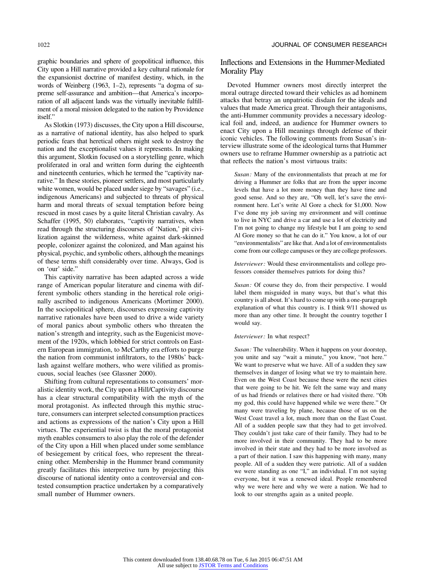graphic boundaries and sphere of geopolitical influence, this City upon a Hill narrative provided a key cultural rationale for the expansionist doctrine of manifest destiny, which, in the words of Weinberg (1963, 1–2), represents "a dogma of supreme self-assurance and ambition—that America's incorporation of all adjacent lands was the virtually inevitable fulfillment of a moral mission delegated to the nation by Providence itself."

As Slotkin (1973) discusses, the City upon a Hill discourse, as a narrative of national identity, has also helped to spark periodic fears that heretical others might seek to destroy the nation and the exceptionalist values it represents. In making this argument, Slotkin focused on a storytelling genre, which proliferated in oral and written form during the eighteenth and nineteenth centuries, which he termed the "captivity narrative." In these stories, pioneer settlers, and most particularly white women, would be placed under siege by "savages" (i.e., indigenous Americans) and subjected to threats of physical harm and moral threats of sexual temptation before being rescued in most cases by a quite literal Christian cavalry. As Schaffer (1995, 50) elaborates, "captivity narratives, when read through the structuring discourses of 'Nation,' pit civilization against the wilderness, white against dark-skinned people, colonizer against the colonized, and Man against his physical, psychic, and symbolic others, although the meanings of these terms shift considerably over time. Always, God is on 'our' side."

This captivity narrative has been adapted across a wide range of American popular literature and cinema with different symbolic others standing in the heretical role originally ascribed to indigenous Americans (Mortimer 2000). In the sociopolitical sphere, discourses expressing captivity narrative rationales have been used to drive a wide variety of moral panics about symbolic others who threaten the nation's strength and integrity, such as the Eugenicist movement of the 1920s, which lobbied for strict controls on Eastern European immigration, to McCarthy era efforts to purge the nation from communist infiltrators, to the 1980s' backlash against welfare mothers, who were vilified as promiscuous, social leaches (see Glassner 2000).

Shifting from cultural representations to consumers' moralistic identity work, the City upon a Hill/Captivity discourse has a clear structural compatibility with the myth of the moral protagonist. As inflected through this mythic structure, consumers can interpret selected consumption practices and actions as expressions of the nation's City upon a Hill virtues. The experiential twist is that the moral protagonist myth enables consumers to also play the role of the defender of the City upon a Hill when placed under some semblance of besiegement by critical foes, who represent the threatening other. Membership in the Hummer brand community greatly facilitates this interpretive turn by projecting this discourse of national identity onto a controversial and contested consumption practice undertaken by a comparatively small number of Hummer owners.

## Inflections and Extensions in the Hummer-Mediated Morality Play

Devoted Hummer owners most directly interpret the moral outrage directed toward their vehicles as ad hominem attacks that betray an unpatriotic disdain for the ideals and values that made America great. Through their antagonisms, the anti-Hummer community provides a necessary ideological foil and, indeed, an audience for Hummer owners to enact City upon a Hill meanings through defense of their iconic vehicles. The following comments from Susan's interview illustrate some of the ideological turns that Hummer owners use to reframe Hummer ownership as a patriotic act that reflects the nation's most virtuous traits:

*Susan:* Many of the environmentalists that preach at me for driving a Hummer are folks that are from the upper income levels that have a lot more money than they have time and good sense. And so they are, "Oh well, let's save the environment here. Let's write Al Gore a check for \$1,000. Now I've done my job saving my environment and will continue to live in NYC and drive a car and use a lot of electricity and I'm not going to change my lifestyle but I am going to send Al Gore money so that he can do it." You know, a lot of our "environmentalists" are like that. And a lot of environmentalists come from our college campuses or they are college professors.

*Interviewer:* Would these environmentalists and college professors consider themselves patriots for doing this?

*Susan:* Of course they do, from their perspective. I would label them misguided in many ways, but that's what this country is all about. It's hard to come up with a one-paragraph explanation of what this country is. I think 9/11 showed us more than any other time. It brought the country together I would say.

#### *Interviewer:* In what respect?

*Susan:* The vulnerability. When it happens on your doorstep, you unite and say "wait a minute," you know, "not here." We want to preserve what we have. All of a sudden they saw themselves in danger of losing what we try to maintain here. Even on the West Coast because these were the next cities that were going to be hit. We felt the same way and many of us had friends or relatives there or had visited there. "Oh my god, this could have happened while we were there." Or many were traveling by plane, because those of us on the West Coast travel a lot, much more than on the East Coast. All of a sudden people saw that they had to get involved. They couldn't just take care of their family. They had to be more involved in their community. They had to be more involved in their state and they had to be more involved as a part of their nation. I saw this happening with many, many people. All of a sudden they were patriotic. All of a sudden we were standing as one "I," an individual. I'm not saying everyone, but it was a renewed ideal. People remembered why we were here and why we were a nation. We had to look to our strengths again as a united people.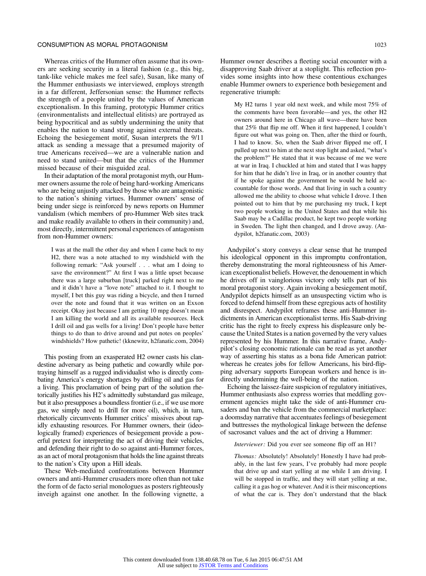Whereas critics of the Hummer often assume that its owners are seeking security in a literal fashion (e.g., this big, tank-like vehicle makes me feel safe), Susan, like many of the Hummer enthusiasts we interviewed, employs strength in a far different, Jeffersonian sense: the Hummer reflects the strength of a people united by the values of American exceptionalism. In this framing, prototypic Hummer critics (environmentalists and intellectual elitists) are portrayed as being hypocritical and as subtly undermining the unity that enables the nation to stand strong against external threats. Echoing the besiegement motif, Susan interprets the 9/11 attack as sending a message that a presumed majority of true Americans received—we are a vulnerable nation and need to stand united—but that the critics of the Hummer missed because of their misguided zeal.

In their adaptation of the moral protagonist myth, our Hummer owners assume the role of being hard-working Americans who are being unjustly attacked by those who are antagonistic to the nation's shining virtues. Hummer owners' sense of being under siege is reinforced by news reports on Hummer vandalism (which members of pro-Hummer Web sites track and make readily available to others in their community) and, most directly, intermittent personal experiences of antagonism from non-Hummer owners:

I was at the mall the other day and when I came back to my H2, there was a note attached to my windshield with the following remark: "Ask yourself . . . what am I doing to save the environment?" At first I was a little upset because there was a large suburban [truck] parked right next to me and it didn't have a "love note" attached to it. I thought to myself, I bet this guy was riding a bicycle, and then I turned over the note and found that it was written on an Exxon receipt. Okay just because I am getting 10 mpg doesn't mean I am killing the world and all its available resources. Heck I drill oil and gas wells for a living! Don't people have better things to do than to drive around and put notes on peoples' windshields? How pathetic! (kknewitz, h2fanatic.com, 2004)

This posting from an exasperated H2 owner casts his clandestine adversary as being pathetic and cowardly while portraying himself as a rugged individualist who is directly combating America's energy shortages by drilling oil and gas for a living. This proclamation of being part of the solution rhetorically justifies his H2's admittedly substandard gas mileage, but it also presupposes a boundless frontier (i.e., if we use more gas, we simply need to drill for more oil), which, in turn, rhetorically circumvents Hummer critics' missives about rapidly exhausting resources. For Hummer owners, their (ideologically framed) experiences of besiegement provide a powerful pretext for interpreting the act of driving their vehicles, and defending their right to do so against anti-Hummer forces, as an act of moral protagonism that holds the line against threats to the nation's City upon a Hill ideals.

These Web-mediated confrontations between Hummer owners and anti-Hummer crusaders more often than not take the form of de facto serial monologues as posters righteously inveigh against one another. In the following vignette, a Hummer owner describes a fleeting social encounter with a disapproving Saab driver at a stoplight. This reflection provides some insights into how these contentious exchanges enable Hummer owners to experience both besiegement and regenerative triumph:

My H2 turns 1 year old next week, and while most 75% of the comments have been favorable—and yes, the other H2 owners around here in Chicago all wave—there have been that 25% that flip me off. When it first happened, I couldn't figure out what was going on. Then, after the third or fourth, I had to know. So, when the Saab driver flipped me off, I pulled up next to him at the next stop light and asked, "what's the problem?" He stated that it was because of me we were at war in Iraq. I chuckled at him and stated that I was happy for him that he didn't live in Iraq, or in another country that if he spoke against the government he would be held accountable for those words. And that living in such a country allowed me the ability to choose what vehicle I drove. I then pointed out to him that by me purchasing my truck, I kept two people working in the United States and that while his Saab may be a Cadillac product, he kept two people working in Sweden. The light then changed, and I drove away. (Andypilot, h2fanatic.com, 2003)

Andypilot's story conveys a clear sense that he trumped his ideological opponent in this impromptu confrontation, thereby demonstrating the moral righteousness of his American exceptionalist beliefs. However, the denouement in which he drives off in vainglorious victory only tells part of his moral protagonist story. Again invoking a besiegement motif, Andypilot depicts himself as an unsuspecting victim who is forced to defend himself from these egregious acts of hostility and disrespect. Andypilot reframes these anti-Hummer indictments in American exceptionalist terms. His Saab-driving critic has the right to freely express his displeasure only because the United States is a nation governed by the very values represented by his Hummer. In this narrative frame, Andypilot's closing economic rationale can be read as yet another way of asserting his status as a bona fide American patriot: whereas he creates jobs for fellow Americans, his bird-flipping adversary supports European workers and hence is indirectly undermining the well-being of the nation.

Echoing the laissez-faire suspicion of regulatory initiatives, Hummer enthusiasts also express worries that meddling government agencies might take the side of anti-Hummer crusaders and ban the vehicle from the commercial marketplace: a doomsday narrative that accentuates feelings of besiegement and buttresses the mythological linkage between the defense of sacrosanct values and the act of driving a Hummer:

*Interviewer:* Did you ever see someone flip off an H1?

*Thomas:* Absolutely! Absolutely! Honestly I have had probably, in the last few years, I've probably had more people that drive up and start yelling at me while I am driving. I will be stopped in traffic, and they will start yelling at me, calling it a gas hog or whatever. And it is their misconceptions of what the car is. They don't understand that the black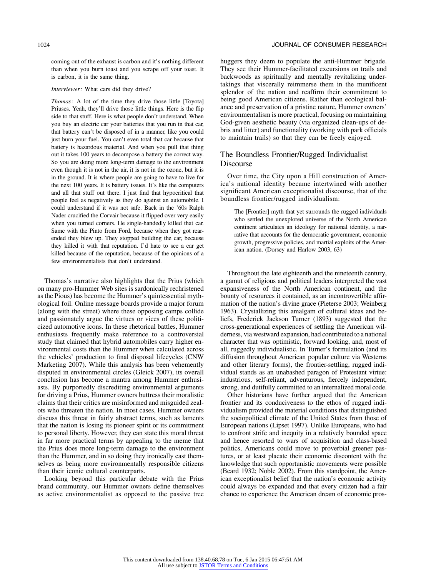coming out of the exhaust is carbon and it's nothing different than when you burn toast and you scrape off your toast. It is carbon, it is the same thing.

#### *Interviewer:* What cars did they drive?

*Thomas:* A lot of the time they drive those little [Toyota] Priuses. Yeah, they'll drive those little things. Here is the flip side to that stuff. Here is what people don't understand. When you buy an electric car your batteries that you run in that car, that battery can't be disposed of in a manner, like you could just burn your fuel. You can't even total that car because that battery is hazardous material. And when you pull that thing out it takes 100 years to decompose a battery the correct way. So you are doing more long-term damage to the environment even though it is not in the air, it is not in the ozone, but it is in the ground. It is where people are going to have to live for the next 100 years. It is battery issues. It's like the computers and all that stuff out there. I just find that hypocritical that people feel as negatively as they do against an automobile. I could understand if it was not safe. Back in the '60s Ralph Nader crucified the Corvair because it flipped over very easily when you turned corners. He single-handedly killed that car. Same with the Pinto from Ford, because when they got rearended they blew up. They stopped building the car, because they killed it with that reputation. I'd hate to see a car get killed because of the reputation, because of the opinions of a few environmentalists that don't understand.

Thomas's narrative also highlights that the Prius (which on many pro-Hummer Web sites is sardonically rechristened as the Pious) has become the Hummer's quintessential mythological foil. Online message boards provide a major forum (along with the street) where these opposing camps collide and passionately argue the virtues or vices of these politicized automotive icons. In these rhetorical battles, Hummer enthusiasts frequently make reference to a controversial study that claimed that hybrid automobiles carry higher environmental costs than the Hummer when calculated across the vehicles' production to final disposal lifecycles (CNW Marketing 2007). While this analysis has been vehemently disputed in environmental circles (Gleick 2007), its overall conclusion has become a mantra among Hummer enthusiasts. By purportedly discrediting environmental arguments for driving a Prius, Hummer owners buttress their moralistic claims that their critics are misinformed and misguided zealots who threaten the nation. In most cases, Hummer owners discuss this threat in fairly abstract terms, such as laments that the nation is losing its pioneer spirit or its commitment to personal liberty. However, they can state this moral threat in far more practical terms by appealing to the meme that the Prius does more long-term damage to the environment than the Hummer, and in so doing they ironically cast themselves as being more environmentally responsible citizens than their iconic cultural counterparts.

Looking beyond this particular debate with the Prius brand community, our Hummer owners define themselves as active environmentalist as opposed to the passive tree huggers they deem to populate the anti-Hummer brigade. They see their Hummer-facilitated excursions on trails and backwoods as spiritually and mentally revitalizing undertakings that viscerally reimmerse them in the munificent splendor of the nation and reaffirm their commitment to being good American citizens. Rather than ecological balance and preservation of a pristine nature, Hummer owners' environmentalism is more practical, focusing on maintaining God-given aesthetic beauty (via organized clean-ups of debris and litter) and functionality (working with park officials to maintain trails) so that they can be freely enjoyed.

## The Boundless Frontier/Rugged Individualist **Discourse**

Over time, the City upon a Hill construction of America's national identity became intertwined with another significant American exceptionalist discourse, that of the boundless frontier/rugged individualism:

The [Frontier] myth that yet surrounds the rugged individuals who settled the unexplored universe of the North American continent articulates an ideology for national identity, a narrative that accounts for the democratic government, economic growth, progressive policies, and martial exploits of the American nation. (Dorsey and Harlow 2003, 63)

Throughout the late eighteenth and the nineteenth century, a gamut of religious and political leaders interpreted the vast expansiveness of the North American continent, and the bounty of resources it contained, as an incontrovertible affirmation of the nation's divine grace (Pieterse 2003; Weinberg 1963). Crystallizing this amalgam of cultural ideas and beliefs, Frederick Jackson Turner (1893) suggested that the cross-generational experiences of settling the American wilderness, via westward expansion, had contributed to a national character that was optimistic, forward looking, and, most of all, ruggedly individualistic. In Turner's formulation (and its diffusion throughout American popular culture via Westerns and other literary forms), the frontier-settling, rugged individual stands as an unabashed paragon of Protestant virtue: industrious, self-reliant, adventurous, fiercely independent, strong, and dutifully committed to an internalized moral code.

Other historians have further argued that the American frontier and its conduciveness to the ethos of rugged individualism provided the material conditions that distinguished the sociopolitical climate of the United States from those of European nations (Lipset 1997). Unlike Europeans, who had to confront strife and inequity in a relatively bounded space and hence resorted to wars of acquisition and class-based politics, Americans could move to proverbial greener pastures, or at least placate their economic discontent with the knowledge that such opportunistic movements were possible (Beard 1932; Noble 2002). From this standpoint, the American exceptionalist belief that the nation's economic activity could always be expanded and that every citizen had a fair chance to experience the American dream of economic pros-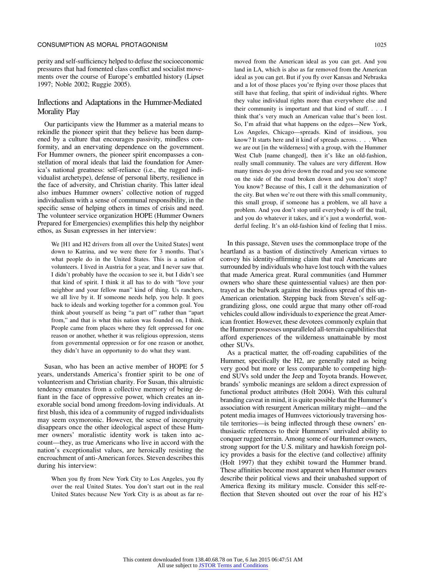perity and self-sufficiency helped to defuse the socioeconomic pressures that had fomented class conflict and socialist movements over the course of Europe's embattled history (Lipset 1997; Noble 2002; Ruggie 2005).

## Inflections and Adaptations in the Hummer-Mediated Morality Play

Our participants view the Hummer as a material means to rekindle the pioneer spirit that they believe has been dampened by a culture that encourages passivity, mindless conformity, and an enervating dependence on the government. For Hummer owners, the pioneer spirit encompasses a constellation of moral ideals that laid the foundation for America's national greatness: self-reliance (i.e., the rugged individualist archetype), defense of personal liberty, resilience in the face of adversity, and Christian charity. This latter ideal also imbues Hummer owners' collective notion of rugged individualism with a sense of communal responsibility, in the specific sense of helping others in times of crisis and need. The volunteer service organization HOPE (Hummer Owners Prepared for Emergencies) exemplifies this help thy neighbor ethos, as Susan expresses in her interview:

We [H1 and H2 drivers from all over the United States] went down to Katrina, and we were there for 3 months. That's what people do in the United States. This is a nation of volunteers. I lived in Austria for a year, and I never saw that. I didn't probably have the occasion to see it, but I didn't see that kind of spirit. I think it all has to do with "love your neighbor and your fellow man" kind of thing. Us ranchers, we all live by it. If someone needs help, you help. It goes back to ideals and working together for a common goal. You think about yourself as being "a part of" rather than "apart from," and that is what this nation was founded on, I think. People came from places where they felt oppressed for one reason or another, whether it was religious oppression, stems from governmental oppression or for one reason or another, they didn't have an opportunity to do what they want.

Susan, who has been an active member of HOPE for 5 years, understands America's frontier spirit to be one of volunteerism and Christian charity. For Susan, this altruistic tendency emanates from a collective memory of being defiant in the face of oppressive power, which creates an inexorable social bond among freedom-loving individuals. At first blush, this idea of a community of rugged individualists may seem oxymoronic. However, the sense of incongruity disappears once the other ideological aspect of these Hummer owners' moralistic identity work is taken into account—they, as true Americans who live in accord with the nation's exceptionalist values, are heroically resisting the encroachment of anti-American forces. Steven describes this during his interview:

When you fly from New York City to Los Angeles, you fly over the real United States. You don't start out in the real United States because New York City is as about as far removed from the American ideal as you can get. And you land in LA, which is also as far removed from the American ideal as you can get. But if you fly over Kansas and Nebraska and a lot of those places you're flying over those places that still have that feeling, that spirit of individual rights. Where they value individual rights more than everywhere else and

their community is important and that kind of stuff. . . . I think that's very much an American value that's been lost. So, I'm afraid that what happens on the edges—New York, Los Angeles, Chicago—spreads. Kind of insidious, you know? It starts here and it kind of spreads across. . . . When we are out [in the wilderness] with a group, with the Hummer West Club [name changed], then it's like an old-fashion, really small community. The values are very different. How many times do you drive down the road and you see someone on the side of the road broken down and you don't stop? You know? Because of this, I call it the dehumanization of the city. But when we're out there with this small community, this small group, if someone has a problem, we all have a problem. And you don't stop until everybody is off the trail, and you do whatever it takes, and it's just a wonderful, wonderful feeling. It's an old-fashion kind of feeling that I miss.

In this passage, Steven uses the commonplace trope of the heartland as a bastion of distinctively American virtues to convey his identity-affirming claim that real Americans are surrounded by individuals who have lost touch with the values that made America great. Rural communities (and Hummer owners who share these quintessential values) are then portrayed as the bulwark against the insidious spread of this un-American orientation. Stepping back from Steven's self-aggrandizing gloss, one could argue that many other off-road vehicles could allow individuals to experience the great American frontier. However, these devotees commonly explain that the Hummer possesses unparalleled all-terrain capabilities that afford experiences of the wilderness unattainable by most other SUVs.

As a practical matter, the off-roading capabilities of the Hummer, specifically the H2, are generally rated as being very good but more or less comparable to competing highend SUVs sold under the Jeep and Toyota brands. However, brands' symbolic meanings are seldom a direct expression of functional product attributes (Holt 2004). With this cultural branding caveat in mind, it is quite possible that the Hummer's association with resurgent American military might—and the potent media images of Humvees victoriously traversing hostile territories—is being inflected through these owners' enthusiastic references to their Hummers' unrivaled ability to conquer rugged terrain. Among some of our Hummer owners, strong support for the U.S. military and hawkish foreign policy provides a basis for the elective (and collective) affinity (Holt 1997) that they exhibit toward the Hummer brand. These affinities become most apparent when Hummer owners describe their political views and their unabashed support of America flexing its military muscle. Consider this self-reflection that Steven shouted out over the roar of his H2's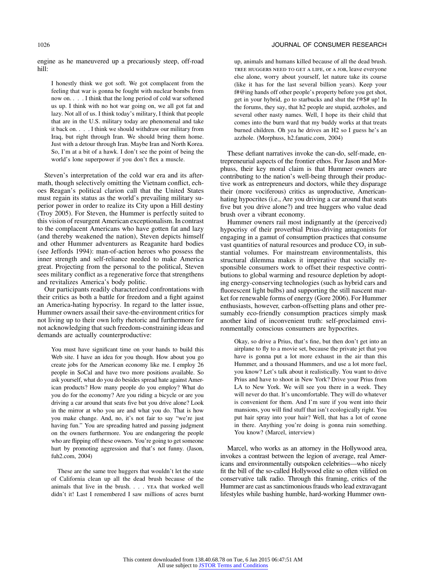#### 1026 JOURNAL OF CONSUMER RESEARCH

engine as he maneuvered up a precariously steep, off-road hill:

I honestly think we got soft. We got complacent from the feeling that war is gonna be fought with nuclear bombs from now on. . . . I think that the long period of cold war softened us up. I think with no hot war going on, we all got fat and lazy. Not all of us. I think today's military, I think that people that are in the U.S. military today are phenomenal and take it back on. . . . I think we should withdraw our military from Iraq, but right through Iran. We should bring them home. Just with a detour through Iran. Maybe Iran and North Korea. So, I'm at a bit of a hawk. I don't see the point of being the world's lone superpower if you don't flex a muscle.

Steven's interpretation of the cold war era and its aftermath, though selectively omitting the Vietnam conflict, echoes Reagan's political clarion call that the United States must regain its status as the world's prevailing military superior power in order to realize its City upon a Hill destiny (Troy 2005). For Steven, the Hummer is perfectly suited to this vision of resurgent American exceptionalism. In contrast to the complacent Americans who have gotten fat and lazy (and thereby weakened the nation), Steven depicts himself and other Hummer adventurers as Reaganite hard bodies (see Jeffords 1994): man-of-action heroes who possess the inner strength and self-reliance needed to make America great. Projecting from the personal to the political, Steven sees military conflict as a regenerative force that strengthens and revitalizes America's body politic.

Our participants readily characterized confrontations with their critics as both a battle for freedom and a fight against an America-hating hypocrisy. In regard to the latter issue, Hummer owners assail their save-the-environment critics for not living up to their own lofty rhetoric and furthermore for not acknowledging that such freedom-constraining ideas and demands are actually counterproductive:

You must have significant time on your hands to build this Web site. I have an idea for you though. How about you go create jobs for the American economy like me. I employ 26 people in SoCal and have two more positions available. So ask yourself, what do you do besides spread hate against American products? How many people do you employ? What do you do for the economy? Are you riding a bicycle or are you driving a car around that seats five but you drive alone? Look in the mirror at who you are and what you do. That is how you make change. And, no, it's not fair to say "we're just having fun." You are spreading hatred and passing judgment on the owners furthermore. You are endangering the people who are flipping off these owners. You're going to get someone hurt by promoting aggression and that's not funny. (Jason, fuh2.com, 2004)

These are the same tree huggers that wouldn't let the state of California clean up all the dead brush because of the animals that live in the brush. . . . yea that worked well didn't it! Last I remembered I saw millions of acres burnt up, animals and humans killed because of all the dead brush. tree huggers need to get a life, or a job, leave everyone else alone, worry about yourself, let nature take its course (like it has for the last several billion years). Keep your f#@ing hands off other people's property before you get shot, get in your hybrid, go to starbucks and shut the f\*\$# up! In the forums, they say, that h2 people are stupid, azzholes, and several other nasty names. Well, I hope its their child that comes into the burn ward that my buddy works at that treats burned children. Oh yea he drives an H2 so I guess he's an azzhole. (Morphuss, h2.fanatic.com, 2004)

These defiant narratives invoke the can-do, self-made, entrepreneurial aspects of the frontier ethos. For Jason and Morphuss, their key moral claim is that Hummer owners are contributing to the nation's well-being through their productive work as entrepreneurs and doctors, while they disparage their (more vociferous) critics as unproductive, Americanhating hypocrites (i.e., Are you driving a car around that seats five but you drive alone?) and tree huggers who value dead brush over a vibrant economy.

Hummer owners rail most indignantly at the (perceived) hypocrisy of their proverbial Prius-driving antagonists for engaging in a gamut of consumption practices that consume vast quantities of natural resources and produce  $CO<sub>2</sub>$  in substantial volumes. For mainstream environmentalists, this structural dilemma makes it imperative that socially responsible consumers work to offset their respective contributions to global warming and resource depletion by adopting energy-conserving technologies (such as hybrid cars and fluorescent light bulbs) and supporting the still nascent market for renewable forms of energy (Gore 2006). For Hummer enthusiasts, however, carbon-offsetting plans and other presumably eco-friendly consumption practices simply mask another kind of inconvenient truth: self-proclaimed environmentally conscious consumers are hypocrites.

Okay, so drive a Prius, that's fine, but then don't get into an airplane to fly to a movie set, because the private jet that you have is gonna put a lot more exhaust in the air than this Hummer, and a thousand Hummers, and use a lot more fuel, you know? Let's talk about it realistically. You want to drive Prius and have to shoot in New York? Drive your Prius from LA to New York. We will see you there in a week. They will never do that. It's uncomfortable. They will do whatever is convenient for them. And I'm sure if you went into their mansions, you will find stuff that isn't ecologically right. You put hair spray into your hair? Well, that has a lot of ozone in there. Anything you're doing is gonna ruin something. You know? (Marcel, interview)

Marcel, who works as an attorney in the Hollywood area, invokes a contrast between the legion of average, real Americans and environmentally outspoken celebrities—who nicely fit the bill of the so-called Hollywood elite so often vilified on conservative talk radio. Through this framing, critics of the Hummer are cast as sanctimonious frauds who lead extravagant lifestyles while bashing humble, hard-working Hummer own-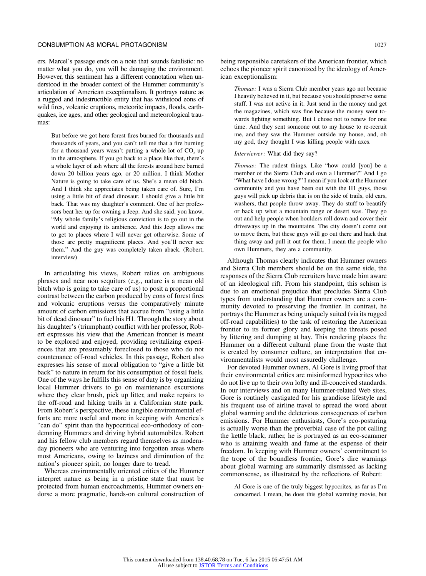ers. Marcel's passage ends on a note that sounds fatalistic: no matter what you do, you will be damaging the environment. However, this sentiment has a different connotation when understood in the broader context of the Hummer community's articulation of American exceptionalism. It portrays nature as a rugged and indestructible entity that has withstood eons of wild fires, volcanic eruptions, meteorite impacts, floods, earthquakes, ice ages, and other geological and meteorological traumas:

But before we got here forest fires burned for thousands and thousands of years, and you can't tell me that a fire burning for a thousand years wasn't putting a whole lot of  $CO<sub>2</sub>$  up in the atmosphere. If you go back to a place like that, there's a whole layer of ash where all the forests around here burned down 20 billion years ago, or 20 million. I think Mother Nature is going to take care of us. She's a mean old bitch. And I think she appreciates being taken care of. Sure, I'm using a little bit of dead dinosaur. I should give a little bit back. That was my daughter's comment. One of her professors beat her up for owning a Jeep. And she said, you know, "My whole family's religious conviction is to go out in the world and enjoying its ambience. And this Jeep allows me to get to places where I will never get otherwise. Some of those are pretty magnificent places. And you'll never see them." And the guy was completely taken aback. (Robert, interview)

In articulating his views, Robert relies on ambiguous phrases and near non sequiturs (e.g., nature is a mean old bitch who is going to take care of us) to posit a proportional contrast between the carbon produced by eons of forest fires and volcanic eruptions versus the comparatively minute amount of carbon emissions that accrue from "using a little bit of dead dinosaur" to fuel his H1. Through the story about his daughter's (triumphant) conflict with her professor, Robert expresses his view that the American frontier is meant to be explored and enjoyed, providing revitalizing experiences that are presumably foreclosed to those who do not countenance off-road vehicles. In this passage, Robert also expresses his sense of moral obligation to "give a little bit back" to nature in return for his consumption of fossil fuels. One of the ways he fulfills this sense of duty is by organizing local Hummer drivers to go on maintenance excursions where they clear brush, pick up litter, and make repairs to the off-road and hiking trails in a Californian state park. From Robert's perspective, these tangible environmental efforts are more useful and more in keeping with America's "can do" spirit than the hypocritical eco-orthodoxy of condemning Hummers and driving hybrid automobiles. Robert and his fellow club members regard themselves as modernday pioneers who are venturing into forgotten areas where most Americans, owing to laziness and diminution of the nation's pioneer spirit, no longer dare to tread.

Whereas environmentally oriented critics of the Hummer interpret nature as being in a pristine state that must be protected from human encroachments, Hummer owners endorse a more pragmatic, hands-on cultural construction of being responsible caretakers of the American frontier, which echoes the pioneer spirit canonized by the ideology of American exceptionalism:

*Thomas:* I was a Sierra Club member years ago not because I heavily believed in it, but because you should preserve some stuff. I was not active in it. Just send in the money and get the magazines, which was fine because the money went towards fighting something. But I chose not to renew for one time. And they sent someone out to my house to re-recruit me, and they saw the Hummer outside my house, and, oh my god, they thought I was killing people with axes.

#### *Interviewer:* What did they say?

*Thomas:* The rudest things. Like "how could [you] be a member of the Sierra Club and own a Hummer?" And I go "What have I done wrong?" I mean if you look at the Hummer community and you have been out with the H1 guys, those guys will pick up debris that is on the side of trails, old cars, washers, that people throw away. They do stuff to beautify or back up what a mountain range or desert was. They go out and help people when boulders roll down and cover their driveways up in the mountains. The city doesn't come out to move them, but these guys will go out there and hack that thing away and pull it out for them. I mean the people who own Hummers, they are a community.

Although Thomas clearly indicates that Hummer owners and Sierra Club members should be on the same side, the responses of the Sierra Club recruiters have made him aware of an ideological rift. From his standpoint, this schism is due to an emotional prejudice that precludes Sierra Club types from understanding that Hummer owners are a community devoted to preserving the frontier. In contrast, he portrays the Hummer as being uniquely suited (via its rugged off-road capabilities) to the task of restoring the American frontier to its former glory and keeping the threats posed by littering and dumping at bay. This rendering places the Hummer on a different cultural plane from the waste that is created by consumer culture, an interpretation that environmentalists would most assuredly challenge.

For devoted Hummer owners, Al Gore is living proof that their environmental critics are misinformed hypocrites who do not live up to their own lofty and ill-conceived standards. In our interviews and on many Hummer-related Web sites, Gore is routinely castigated for his grandiose lifestyle and his frequent use of airline travel to spread the word about global warming and the deleterious consequences of carbon emissions. For Hummer enthusiasts, Gore's eco-posturing is actually worse than the proverbial case of the pot calling the kettle black; rather, he is portrayed as an eco-scammer who is attaining wealth and fame at the expense of their freedom. In keeping with Hummer owners' commitment to the trope of the boundless frontier, Gore's dire warnings about global warming are summarily dismissed as lacking commonsense, as illustrated by the reflections of Robert:

Al Gore is one of the truly biggest hypocrites, as far as I'm concerned. I mean, he does this global warming movie, but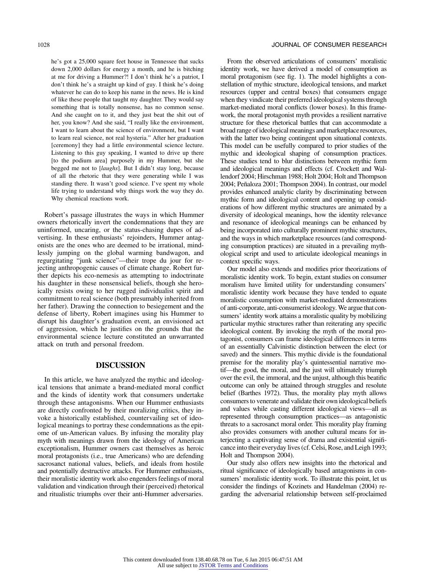he's got a 25,000 square feet house in Tennessee that sucks down 2,000 dollars for energy a month, and he is bitching at me for driving a Hummer?! I don't think he's a patriot, I don't think he's a straight up kind of guy. I think he's doing whatever he can do to keep his name in the news. He is kind of like these people that taught my daughter. They would say something that is totally nonsense, has no common sense. And she caught on to it, and they just beat the shit out of her, you know? And she said, "I really like the environment, I want to learn about the science of environment, but I want to learn real science, not real hysteria." After her graduation [ceremony] they had a little environmental science lecture. Listening to this guy speaking, I wanted to drive up there [to the podium area] purposely in my Hummer, but she begged me not to [*laughs*]. But I didn't stay long, because of all the rhetoric that they were generating while I was standing there. It wasn't good science. I've spent my whole life trying to understand why things work the way they do. Why chemical reactions work.

Robert's passage illustrates the ways in which Hummer owners rhetorically invert the condemnations that they are uninformed, uncaring, or the status-chasing dupes of advertising. In these enthusiasts' rejoinders, Hummer antagonists are the ones who are deemed to be irrational, mindlessly jumping on the global warming bandwagon, and regurgitating "junk science"—their trope du jour for rejecting anthropogenic causes of climate change. Robert further depicts his eco-nemesis as attempting to indoctrinate his daughter in these nonsensical beliefs, though she heroically resists owing to her rugged individualist spirit and commitment to real science (both presumably inherited from her father). Drawing the connection to besiegement and the defense of liberty, Robert imagines using his Hummer to disrupt his daughter's graduation event, an envisioned act of aggression, which he justifies on the grounds that the environmental science lecture constituted an unwarranted attack on truth and personal freedom.

### **DISCUSSION**

In this article, we have analyzed the mythic and ideological tensions that animate a brand-mediated moral conflict and the kinds of identity work that consumers undertake through these antagonisms. When our Hummer enthusiasts are directly confronted by their moralizing critics, they invoke a historically established, countervailing set of ideological meanings to portray these condemnations as the epitome of un-American values. By infusing the morality play myth with meanings drawn from the ideology of American exceptionalism, Hummer owners cast themselves as heroic moral protagonists (i.e., true Americans) who are defending sacrosanct national values, beliefs, and ideals from hostile and potentially destructive attacks. For Hummer enthusiasts, their moralistic identity work also engenders feelings of moral validation and vindication through their (perceived) rhetorical and ritualistic triumphs over their anti-Hummer adversaries.

From the observed articulations of consumers' moralistic identity work, we have derived a model of consumption as moral protagonism (see fig. 1). The model highlights a constellation of mythic structure, ideological tensions, and market resources (upper and central boxes) that consumers engage when they vindicate their preferred ideological systems through market-mediated moral conflicts (lower boxes). In this framework, the moral protagonist myth provides a resilient narrative structure for these rhetorical battles that can accommodate a broad range of ideological meanings and marketplace resources, with the latter two being contingent upon situational contexts. This model can be usefully compared to prior studies of the mythic and ideological shaping of consumption practices. These studies tend to blur distinctions between mythic form and ideological meanings and effects (cf. Crockett and Wallendorf 2004; Hirschman 1988; Holt 2004; Holt and Thompson 2004; Peñaloza 2001; Thompson 2004). In contrast, our model provides enhanced analytic clarity by discriminating between mythic form and ideological content and opening up considerations of how different mythic structures are animated by a diversity of ideological meanings, how the identity relevance and resonance of ideological meanings can be enhanced by being incorporated into culturally prominent mythic structures, and the ways in which marketplace resources (and corresponding consumption practices) are situated in a prevailing mythological script and used to articulate ideological meanings in context specific ways.

Our model also extends and modifies prior theorizations of moralistic identity work. To begin, extant studies on consumer moralism have limited utility for understanding consumers' moralistic identity work because they have tended to equate moralistic consumption with market-mediated demonstrations of anti-corporate, anti-consumerist ideology. We argue that consumers' identity work attains a moralistic quality by mobilizing particular mythic structures rather than reiterating any specific ideological content. By invoking the myth of the moral protagonist, consumers can frame ideological differences in terms of an essentially Calvinistic distinction between the elect (or saved) and the sinners. This mythic divide is the foundational premise for the morality play's quintessential narrative motif—the good, the moral, and the just will ultimately triumph over the evil, the immoral, and the unjust, although this beatific outcome can only be attained through struggles and resolute belief (Barthes 1972). Thus, the morality play myth allows consumers to venerate and validate their own ideological beliefs and values while casting different ideological views—all as represented through consumption practices—as antagonistic threats to a sacrosanct moral order. This morality play framing also provides consumers with another cultural means for interjecting a captivating sense of drama and existential significance into their everyday lives (cf. Celsi, Rose, and Leigh 1993; Holt and Thompson 2004).

Our study also offers new insights into the rhetorical and ritual significance of ideologically based antagonisms in consumers' moralistic identity work. To illustrate this point, let us consider the findings of Kozinets and Handelman (2004) regarding the adversarial relationship between self-proclaimed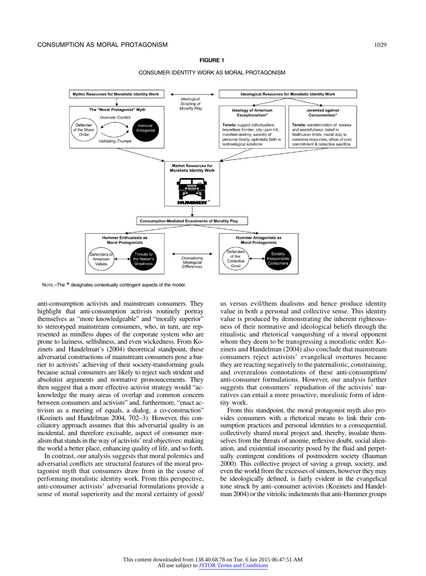#### **FIGURE 1**

CONSUMER IDENTITY WORK AS MORAL PROTAGONISM



NOTE.–The \* designates contextually contingent aspects of the model.

anti-consumption activists and mainstream consumers. They highlight that anti-consumption activists routinely portray themselves as "more knowledgeable" and "morally superior" to stereotyped mainstream consumers, who, in turn, are represented as mindless dupes of the corporate system who are prone to laziness, selfishness, and even wickedness. From Kozinets and Handelman's (2004) theoretical standpoint, these adversarial constructions of mainstream consumers pose a barrier to activists' achieving of their society-transforming goals because actual consumers are likely to reject such strident and absolutist arguments and normative pronouncements. They then suggest that a more effective activist strategy would "acknowledge the many areas of overlap and common concern between consumers and activists" and, furthermore, "enact activism as a meeting of equals, a dialog, a co-construction" (Kozinets and Handelman 2004, 702–3). However, this conciliatory approach assumes that this adversarial quality is an incidental, and therefore excisable, aspect of consumer moralism that stands in the way of activists' real objectives: making the world a better place, enhancing quality of life, and so forth.

In contrast, our analysis suggests that moral polemics and adversarial conflicts are structural features of the moral protagonist myth that consumers draw from in the course of performing moralistic identity work. From this perspective, anti-consumer activists' adversarial formulations provide a sense of moral superiority and the moral certainty of good/ us versus evil/them dualisms and hence produce identity value in both a personal and collective sense. This identity value is produced by demonstrating the inherent righteousness of their normative and ideological beliefs through the ritualistic and rhetorical vanquishing of a moral opponent whom they deem to be transgressing a moralistic order. Kozinets and Handelman (2004) also conclude that mainstream consumers reject activists' evangelical overtures because they are reacting negatively to the paternalistic, constraining, and overzealous connotations of these anti-consumption/ anti-consumer formulations. However, our analysis further suggests that consumers' repudiation of the activists' narratives can entail a more proactive, moralistic form of identity work.

From this standpoint, the moral protagonist myth also provides consumers with a rhetorical means to link their consumption practices and personal identities to a consequential, collectively shared moral project and, thereby, insulate themselves from the threats of anomie, reflexive doubt, social alienation, and existential insecurity posed by the fluid and perpetually contingent conditions of postmodern society (Bauman 2000). This collective project of saving a group, society, and even the world from the excesses of sinners, however they may be ideologically defined, is fairly evident in the evangelical tone struck by anti–consumer activists (Kozinets and Handelman 2004) or the vitriolic indictments that anti-Hummer groups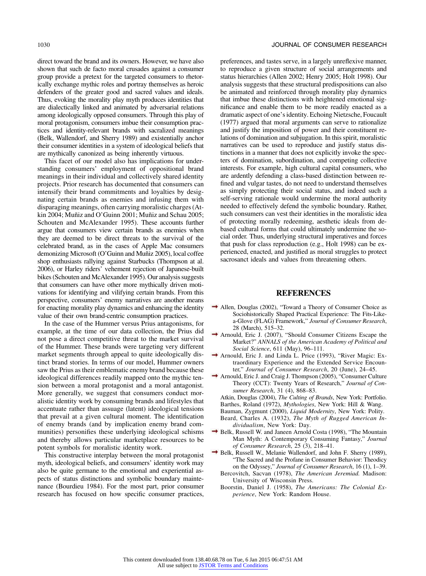direct toward the brand and its owners. However, we have also shown that such de facto moral crusades against a consumer group provide a pretext for the targeted consumers to rhetorically exchange mythic roles and portray themselves as heroic defenders of the greater good and sacred values and ideals. Thus, evoking the morality play myth produces identities that are dialectically linked and animated by adversarial relations among ideologically opposed consumers. Through this play of moral protagonism, consumers imbue their consumption practices and identity-relevant brands with sacralized meanings (Belk, Wallendorf, and Sherry 1989) and existentially anchor their consumer identities in a system of ideological beliefs that are mythically canonized as being inherently virtuous.

This facet of our model also has implications for understanding consumers' employment of oppositional brand meanings in their individual and collectively shared identity projects. Prior research has documented that consumers can intensify their brand commitments and loyalties by designating certain brands as enemies and infusing them with disparaging meanings, often carrying moralistic charges (Atkin 2004; Muñiz and O'Guinn 2001; Muñiz and Schau 2005; Schouten and McAlexander 1995). These accounts further argue that consumers view certain brands as enemies when they are deemed to be direct threats to the survival of the celebrated brand, as in the cases of Apple Mac consumers demonizing Microsoft (O'Guinn and Muñiz 2005), local coffee shop enthusiasts rallying against Starbucks (Thompson at al. 2006), or Harley riders' vehement rejection of Japanese-built bikes (Schouten and McAlexander 1995). Our analysis suggests that consumers can have other more mythically driven motivations for identifying and vilifying certain brands. From this perspective, consumers' enemy narratives are another means for enacting morality play dynamics and enhancing the identity value of their own brand-centric consumption practices.

In the case of the Hummer versus Prius antagonisms, for example, at the time of our data collection, the Prius did not pose a direct competitive threat to the market survival of the Hummer. These brands were targeting very different market segments through appeal to quite ideologically distinct brand stories. In terms of our model, Hummer owners saw the Prius as their emblematic enemy brand because these ideological differences readily mapped onto the mythic tension between a moral protagonist and a moral antagonist. More generally, we suggest that consumers conduct moralistic identity work by consuming brands and lifestyles that accentuate rather than assuage (latent) ideological tensions that prevail at a given cultural moment. The identification of enemy brands (and by implication enemy brand communities) personifies these underlying ideological schisms and thereby allows particular marketplace resources to be potent symbols for moralistic identity work.

This constructive interplay between the moral protagonist myth, ideological beliefs, and consumers' identity work may also be quite germane to the emotional and experiential aspects of status distinctions and symbolic boundary maintenance (Bourdieu 1984). For the most part, prior consumer research has focused on how specific consumer practices, preferences, and tastes serve, in a largely unreflexive manner, to reproduce a given structure of social arrangements and status hierarchies (Allen 2002; Henry 2005; Holt 1998). Our analysis suggests that these structural predispositions can also be animated and reinforced through morality play dynamics that imbue these distinctions with heightened emotional significance and enable them to be more readily enacted as a dramatic aspect of one's identity. Echoing Nietzsche, Foucault (1977) argued that moral arguments can serve to rationalize and justify the imposition of power and their constituent relations of domination and subjugation. In this spirit, moralistic narratives can be used to reproduce and justify status distinctions in a manner that does not explicitly invoke the specters of domination, subordination, and competing collective interests. For example, high cultural capital consumers, who are ardently defending a class-based distinction between refined and vulgar tastes, do not need to understand themselves as simply protecting their social status, and indeed such a self-serving rationale would undermine the moral authority needed to effectively defend the symbolic boundary. Rather, such consumers can vest their identities in the moralistic idea of protecting morally redeeming, aesthetic ideals from debased cultural forms that could ultimately undermine the social order. Thus, underlying structural imperatives and forces that push for class reproduction (e.g., Holt 1998) can be experienced, enacted, and justified as moral struggles to protect sacrosanct ideals and values from threatening others.

#### **REFERENCES**

- Allen, Douglas (2002), "Toward a Theory of Consumer Choice as Sociohistorically Shaped Practical Experience: The Fits-Likea-Glove (FLAG) Framework," *Journal of Consumer Research*, 28 (March), 515–32.
- Arnould, Eric J. (2007), "Should Consumer Citizens Escape the Market?" *ANNALS of the American Academy of Political and Social Science*, 611 (May), 96–111.
- Arnould, Eric J. and Linda L. Price (1993), "River Magic: Extraordinary Experience and the Extended Service Encounter," *Journal of Consumer Research*, 20 (June), 24–45.

Arnould, Eric J. and Craig J. Thompson (2005), "Consumer Culture Theory (CCT): Twenty Years of Research," *Journal of Consumer Research*, 31 (4), 868–83.

Atkin, Douglas (2004), *The Culting of Brands*, New York: Portfolio. Barthes, Roland (1972), *Mythologies*, New York: Hill & Wang.

- Bauman, Zygmunt (2000), *Liquid Modernity*, New York: Polity.
- Beard, Charles A. (1932), *The Myth of Rugged American Individualism*, New York: Day.
- → Belk, Russell W. and Janeen Arnold Costa (1998), "The Mountain Man Myth: A Contemporary Consuming Fantasy," *Journal of Consumer Research*, 25 (3), 218–41.

Belk, Russell W., Melanie Wallendorf, and John F. Sherry (1989), "The Sacred and the Profane in Consumer Behavior: Theodicy on the Odyssey," *Journal of Consumer Research*, 16 (1), 1–39.

- Bercovitch, Sacvan (1978), *The American Jeremiad.* Madison: University of Wisconsin Press.
- Boorstin, Daniel J. (1958), *The Americans: The Colonial Experience*, New York: Random House.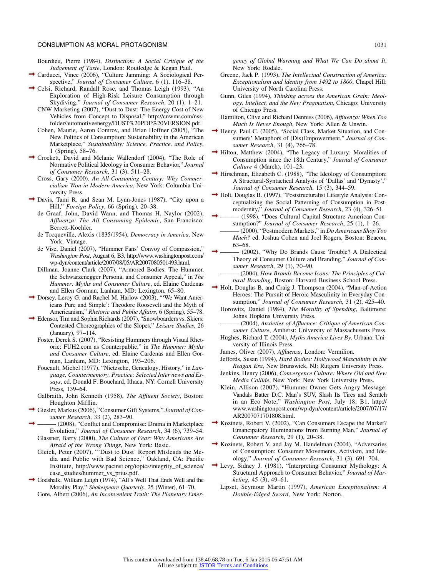- Carducci, Vince (2006), "Culture Jamming: A Sociological Perspective," *Journal of Consumer Culture*, 6 (1), 116–38.
- Celsi, Richard, Randall Rose, and Thomas Leigh (1993), "An Exploration of High-Risk Leisure Consumption through Skydiving," *Journal of Consumer Research*, 20 (1), 1–21.
	- CNW Marketing (2007), "Dust to Dust: The Energy Cost of New Vehicles from Concept to Disposal," http://cnwmr.com/nssfolder/automotiveenergy/DUST%20PDF%20VERSION.pdf.
	- Cohen, Maurie, Aaron Comrov, and Brian Hoffner (2005), "The New Politics of Consumption: Sustainability in the American Marketplace," *Sustainability: Science, Practice, and Policy*, 1 (Spring), 58–76.
- Crockett, David and Melanie Wallendorf (2004), "The Role of Normative Political Ideology in Consumer Behavior," *Journal of Consumer Research*, 31 (3), 511–28.
	- Cross, Gary (2000), *An All-Consuming Century: Why Commercialism Won in Modern America*, New York: Columbia University Press.
- Davis, Tami R. and Sean M. Lynn-Jones (1987), "City upon a Hill," *Foreign Policy*, 66 (Spring), 20–38.
	- de Graaf, John, David Wann, and Thomas H. Naylor (2002), *Affluenza: The All Consuming Epidemic*, San Francisco: Berrett-Koehler.
	- de Tocqueville, Alexis (1835/1954), *Democracy in America,* New York: Vintage.
	- de Vise, Daniel (2007), "Hummer Fans' Convoy of Compassion," *Washington Post*, August 6, B3, http://www.washingtonpost.com/ wp-dyn/content/article/2007/08/05/AR2007080501493.html.
	- Dillman, Joanne Clark (2007), "Armored Bodies: The Hummer, the Schwarzenegger Persona, and Consumer Appeal," in *The Hummer: Myths and Consumer Culture*, ed. Elaine Cardenas and Ellen Gorman, Lanham, MD: Lexington, 65–80.
- Dorsey, Leroy G. and Rachel M. Harlow (2003), "'We Want Americans Pure and Simple': Theodore Roosevelt and the Myth of Americanism," *Rhetoric and Public Affairs*, 6 (Spring), 55–78.
- Edensor, Tim and Sophia Richards (2007), "Snowboarders vs. Skiers: Contested Choreographies of the Slopes," *Leisure Studies*, 26 (January), 97–114.
	- Foster, Derek S. (2007), "Resisting Hummers through Visual Rhetoric: FUH2.com as Counterpublic," in *The Hummer: Myths and Consumer Culture*, ed. Elaine Cardenas and Ellen Gorman, Lanham, MD: Lexington, 193–206.
	- Foucault, Michel (1977), "Nietzsche, Genealogy, History," in *Language, Countermemory, Practice: Selected Interviews and Essays*, ed. Donald F. Bouchard, Ithaca, NY: Cornell University Press, 139–64.
	- Galbraith, John Kenneth (1958), *The Affluent Society*, Boston: Houghton Mifflin.
- Giesler, Markus (2006), "Consumer Gift Systems," *Journal of Consumer Research*, 33 (2), 283–90.
- (2008), "Conflict and Compromise: Drama in Marketplace Evolution," *Journal of Consumer Research*, 34 (6), 739–54. Glassner, Barry (2000), *The Culture of Fear: Why Americans Are*
- *Afraid of the Wrong Things*, New York: Basic.
- Gleick, Peter (2007), "'Dust to Dust' Report Misleads the Media and Public with Bad Science," Oakland, CA: Pacific Institute, http://www.pacinst.org/topics/integrity\_of\_science/ case\_studies/hummer\_vs\_prius.pdf.
- Godshalk, William Leigh (1974), "All's Well That Ends Well and the Morality Play," *Shakespeare Quarterly*, 25 (Winter), 61–70. Gore, Albert (2006), *An Inconvenient Truth: The Planetary Emer-*

*gency of Global Warming and What We Can Do about It*, New York: Rodale.

- Greene, Jack P. (1993), *The Intellectual Construction of America: Exceptionalism and ldentity from 1492 to 1800*, Chapel Hill: University of North Carolina Press.
- Gunn, Giles (1994), *Thinking across the American Grain: Ideology, Intellect, and the New Pragmatism*, Chicago: University of Chicago Press.
- Hamilton, Clive and Richard Denniss (2006), *Affluenza: When Too Much Is Never Enough*, New York: Allen & Unwin.
- Henry, Paul C. (2005), "Social Class, Market Situation, and Consumers' Metaphors of (Dis)Empowerment," *Journal of Consumer Research*, 31 (4), 766–78.
- $\rightarrow$  Hilton, Matthew (2004), "The Legacy of Luxury: Moralities of Consumption since the 18th Century," *Journal of Consumer Culture* 4 (March), 101–23.
- $\rightarrow$  Hirschman, Elizabeth C. (1988), "The Ideology of Consumption: A Structural-Syntactical Analysis of 'Dallas' and 'Dynasty',' *Journal of Consumer Research*, 15 (3), 344–59.
- Holt, Douglas B. (1997), "Poststructuralist Lifestyle Analysis: Conceptualizing the Social Patterning of Consumption in Postmodernity," *Journal of Consumer Research*, 23 (4), 326–51.
- $-$  (1998), "Does Cultural Capital Structure American Consumption?" *Journal of Consumer Research*, 25 (1), 1–26.
- ——— (2000), "Postmodern Markets," in *Do Americans Shop Too Much?* ed. Joshua Cohen and Joel Rogers, Boston: Beacon, 63–68.
- ——— (2002), "Why Do Brands Cause Trouble? A Dialectical Theory of Consumer Culture and Branding," *Journal of Consumer Research*, 29 (1), 70–90.
- (2004), *How Brands Become Icons: The Principles of Cultural Branding*, Boston: Harvard Business School Press.
- Holt, Douglas B. and Craig J. Thompson (2004), "Man-of-Action Heroes: The Pursuit of Heroic Masculinity in Everyday Consumption," *Journal of Consumer Research*, 31 (2), 425–40.
	- Horowitz, Daniel (1984), *The Morality of Spending*, Baltimore: Johns Hopkins University Press.
	- ——— (2004), *Anxieties of Affluence: Critique of American Consumer Culture*, Amherst: University of Massachusetts Press.
	- Hughes, Richard T. (2004), *Myths America Lives By*, Urbana: University of Illinois Press.
	- James, Oliver (2007), *Affluenza*, London: Vermilion.
	- Jeffords, Susan (1994), *Hard Bodies: Hollywood Masculinity in the Reagan Era*, New Brunswick, NJ: Rutgers University Press.
	- Jenkins, Henry (2006), *Convergence Culture: Where Old and New Media Collide*, New York: New York University Press.
	- Klein, Allison (2007), "Hummer Owner Gets Angry Message: Vandals Batter D.C. Man's SUV, Slash Its Tires and Scratch in an Eco Note," *Washington Post*, July 18, B1, http:// www.washingtonpost.com/wp-dyn/content/article/2007/07/17/ AR2007071701808.html.
- Kozinets, Robert V. (2002), "Can Consumers Escape the Market? Emancipatory Illuminations from Burning Man," *Journal of Consumer Research*, 29 (1), 20–38.
- Kozinets, Robert V. and Jay M. Handelman (2004), "Adversaries of Consumption: Consumer Movements, Activism, and Ideology," *Journal of Consumer Research*, 31 (3), 691–704.
- Levy, Sidney J. (1981), "Interpreting Consumer Mythology: A Structural Approach to Consumer Behavior," *Journal of Marketing*, 45 (3), 49–61.
	- Lipset, Seymour Martin (1997), *American Exceptionalism: A Double-Edged Sword*, New York: Norton.